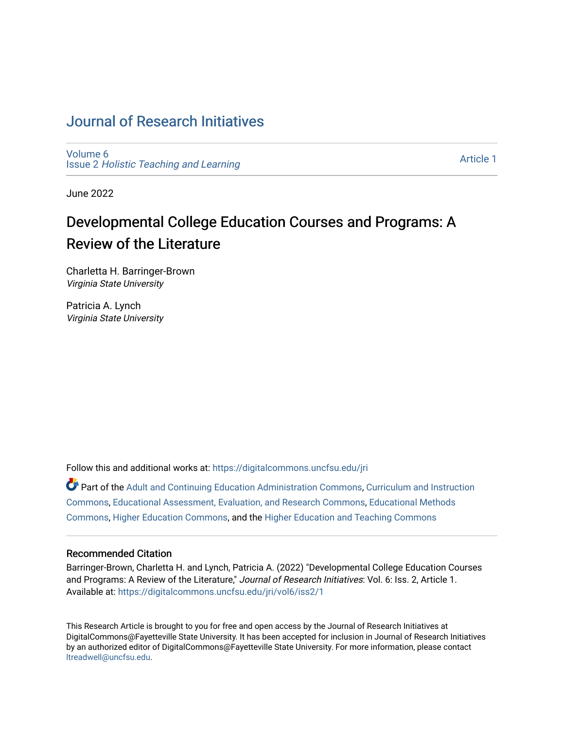## [Journal of Research Initiatives](https://digitalcommons.uncfsu.edu/jri)

[Volume 6](https://digitalcommons.uncfsu.edu/jri/vol6) Issue 2 [Holistic Teaching and Learning](https://digitalcommons.uncfsu.edu/jri/vol6/iss2)

[Article 1](https://digitalcommons.uncfsu.edu/jri/vol6/iss2/1) 

June 2022

# Developmental College Education Courses and Programs: A Review of the Literature

Charletta H. Barringer-Brown Virginia State University

Patricia A. Lynch Virginia State University

Follow this and additional works at: [https://digitalcommons.uncfsu.edu/jri](https://digitalcommons.uncfsu.edu/jri?utm_source=digitalcommons.uncfsu.edu%2Fjri%2Fvol6%2Fiss2%2F1&utm_medium=PDF&utm_campaign=PDFCoverPages) 

Part of the [Adult and Continuing Education Administration Commons](https://network.bepress.com/hgg/discipline/789?utm_source=digitalcommons.uncfsu.edu%2Fjri%2Fvol6%2Fiss2%2F1&utm_medium=PDF&utm_campaign=PDFCoverPages), [Curriculum and Instruction](https://network.bepress.com/hgg/discipline/786?utm_source=digitalcommons.uncfsu.edu%2Fjri%2Fvol6%2Fiss2%2F1&utm_medium=PDF&utm_campaign=PDFCoverPages)  [Commons](https://network.bepress.com/hgg/discipline/786?utm_source=digitalcommons.uncfsu.edu%2Fjri%2Fvol6%2Fiss2%2F1&utm_medium=PDF&utm_campaign=PDFCoverPages), [Educational Assessment, Evaluation, and Research Commons,](https://network.bepress.com/hgg/discipline/796?utm_source=digitalcommons.uncfsu.edu%2Fjri%2Fvol6%2Fiss2%2F1&utm_medium=PDF&utm_campaign=PDFCoverPages) [Educational Methods](https://network.bepress.com/hgg/discipline/1227?utm_source=digitalcommons.uncfsu.edu%2Fjri%2Fvol6%2Fiss2%2F1&utm_medium=PDF&utm_campaign=PDFCoverPages)  [Commons](https://network.bepress.com/hgg/discipline/1227?utm_source=digitalcommons.uncfsu.edu%2Fjri%2Fvol6%2Fiss2%2F1&utm_medium=PDF&utm_campaign=PDFCoverPages), [Higher Education Commons](https://network.bepress.com/hgg/discipline/1245?utm_source=digitalcommons.uncfsu.edu%2Fjri%2Fvol6%2Fiss2%2F1&utm_medium=PDF&utm_campaign=PDFCoverPages), and the [Higher Education and Teaching Commons](https://network.bepress.com/hgg/discipline/806?utm_source=digitalcommons.uncfsu.edu%2Fjri%2Fvol6%2Fiss2%2F1&utm_medium=PDF&utm_campaign=PDFCoverPages)

#### Recommended Citation

Barringer-Brown, Charletta H. and Lynch, Patricia A. (2022) "Developmental College Education Courses and Programs: A Review of the Literature," Journal of Research Initiatives: Vol. 6: Iss. 2, Article 1. Available at: [https://digitalcommons.uncfsu.edu/jri/vol6/iss2/1](https://digitalcommons.uncfsu.edu/jri/vol6/iss2/1?utm_source=digitalcommons.uncfsu.edu%2Fjri%2Fvol6%2Fiss2%2F1&utm_medium=PDF&utm_campaign=PDFCoverPages) 

This Research Article is brought to you for free and open access by the Journal of Research Initiatives at DigitalCommons@Fayetteville State University. It has been accepted for inclusion in Journal of Research Initiatives by an authorized editor of DigitalCommons@Fayetteville State University. For more information, please contact [ltreadwell@uncfsu.edu](mailto:ltreadwell@uncfsu.edu).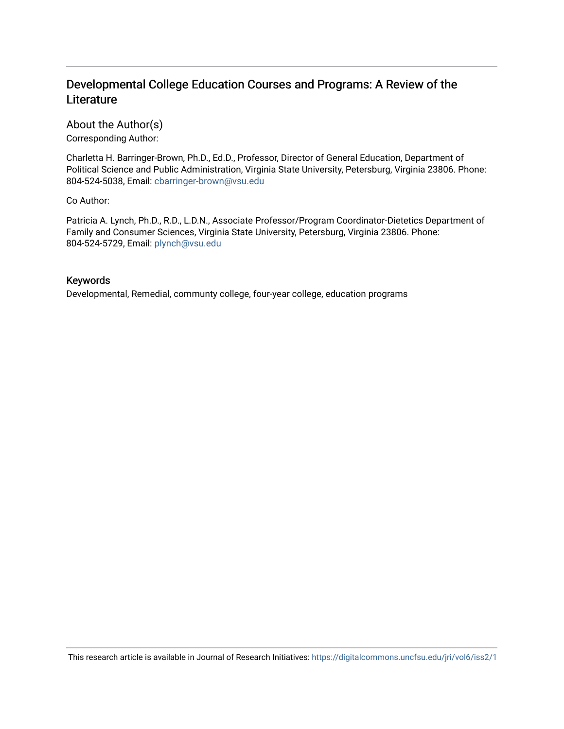### Developmental College Education Courses and Programs: A Review of the **Literature**

About the Author(s) Corresponding Author:

Charletta H. Barringer-Brown, Ph.D., Ed.D., Professor, Director of General Education, Department of Political Science and Public Administration, Virginia State University, Petersburg, Virginia 23806. Phone: 804-524-5038, Email: [cbarringer-brown@vsu.edu](mailto:cbarringer-brown@vsu.edu) 

Co Author:

Patricia A. Lynch, Ph.D., R.D., L.D.N., Associate Professor/Program Coordinator-Dietetics Department of Family and Consumer Sciences, Virginia State University, Petersburg, Virginia 23806. Phone: 804-524-5729, Email: [plynch@vsu.edu](mailto:plynch@vsu.edu)

#### Keywords

Developmental, Remedial, communty college, four-year college, education programs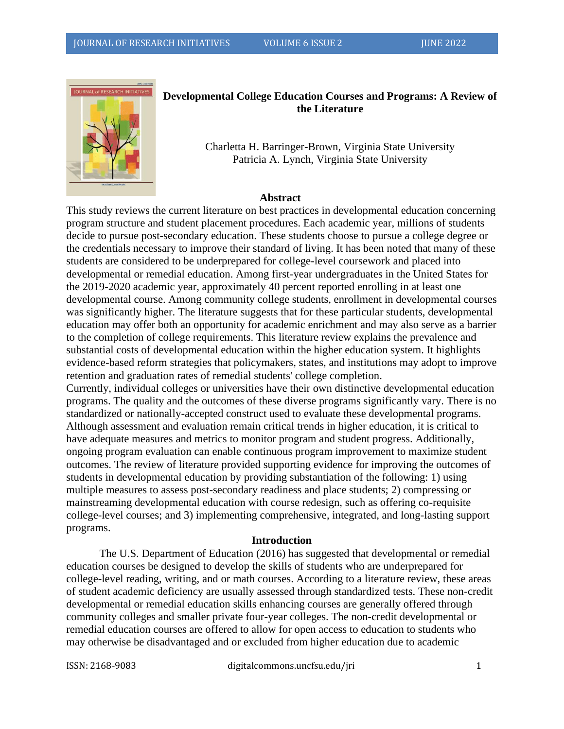

#### **Developmental College Education Courses and Programs: A Review of the Literature**

Charletta H. Barringer-Brown, Virginia State University Patricia A. Lynch, Virginia State University

#### **Abstract**

This study reviews the current literature on best practices in developmental education concerning program structure and student placement procedures. Each academic year, millions of students decide to pursue post-secondary education. These students choose to pursue a college degree or the credentials necessary to improve their standard of living. It has been noted that many of these students are considered to be underprepared for college-level coursework and placed into developmental or remedial education. Among first-year undergraduates in the United States for the 2019-2020 academic year, approximately 40 percent reported enrolling in at least one developmental course. Among community college students, enrollment in developmental courses was significantly higher. The literature suggests that for these particular students, developmental education may offer both an opportunity for academic enrichment and may also serve as a barrier to the completion of college requirements. This literature review explains the prevalence and substantial costs of developmental education within the higher education system. It highlights evidence-based reform strategies that policymakers, states, and institutions may adopt to improve retention and graduation rates of remedial students' college completion.

Currently, individual colleges or universities have their own distinctive developmental education programs. The quality and the outcomes of these diverse programs significantly vary. There is no standardized or nationally-accepted construct used to evaluate these developmental programs. Although assessment and evaluation remain critical trends in higher education, it is critical to have adequate measures and metrics to monitor program and student progress. Additionally, ongoing program evaluation can enable continuous program improvement to maximize student outcomes. The review of literature provided supporting evidence for improving the outcomes of students in developmental education by providing substantiation of the following: 1) using multiple measures to assess post-secondary readiness and place students; 2) compressing or mainstreaming developmental education with course redesign, such as offering co-requisite college-level courses; and 3) implementing comprehensive, integrated, and long-lasting support programs.

#### **Introduction**

The U.S. Department of Education (2016) has suggested that developmental or remedial education courses be designed to develop the skills of students who are underprepared for college-level reading, writing, and or math courses. According to a literature review, these areas of student academic deficiency are usually assessed through standardized tests. These non-credit developmental or remedial education skills enhancing courses are generally offered through community colleges and smaller private four-year colleges. The non-credit developmental or remedial education courses are offered to allow for open access to education to students who may otherwise be disadvantaged and or excluded from higher education due to academic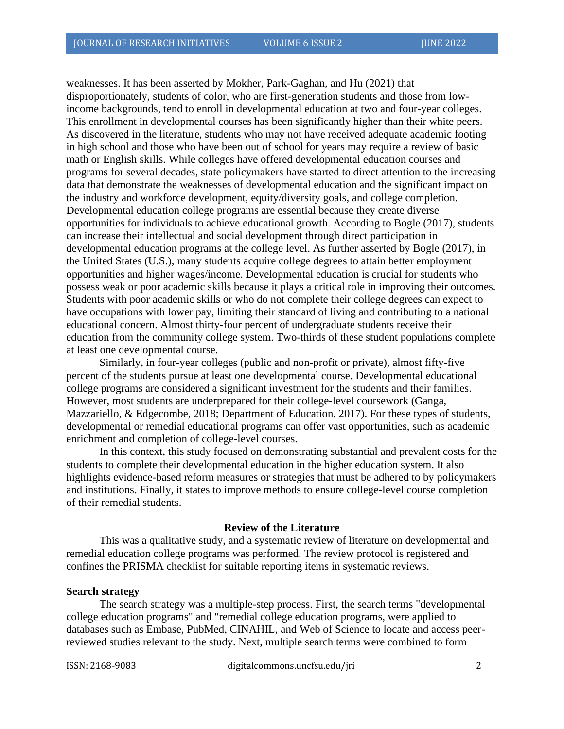weaknesses. It has been asserted by Mokher, Park-Gaghan, and Hu (2021) that disproportionately, students of color, who are first-generation students and those from lowincome backgrounds, tend to enroll in developmental education at two and four-year colleges. This enrollment in developmental courses has been significantly higher than their white peers. As discovered in the literature, students who may not have received adequate academic footing in high school and those who have been out of school for years may require a review of basic math or English skills. While colleges have offered developmental education courses and programs for several decades, state policymakers have started to direct attention to the increasing data that demonstrate the weaknesses of developmental education and the significant impact on the industry and workforce development, equity/diversity goals, and college completion. Developmental education college programs are essential because they create diverse opportunities for individuals to achieve educational growth. According to Bogle (2017), students can increase their intellectual and social development through direct participation in developmental education programs at the college level. As further asserted by Bogle (2017), in the United States (U.S.), many students acquire college degrees to attain better employment opportunities and higher wages/income. Developmental education is crucial for students who possess weak or poor academic skills because it plays a critical role in improving their outcomes. Students with poor academic skills or who do not complete their college degrees can expect to have occupations with lower pay, limiting their standard of living and contributing to a national educational concern. Almost thirty-four percent of undergraduate students receive their education from the community college system. Two-thirds of these student populations complete at least one developmental course.

Similarly, in four-year colleges (public and non-profit or private), almost fifty-five percent of the students pursue at least one developmental course. Developmental educational college programs are considered a significant investment for the students and their families. However, most students are underprepared for their college-level coursework (Ganga, Mazzariello, & Edgecombe, 2018; Department of Education, 2017). For these types of students, developmental or remedial educational programs can offer vast opportunities, such as academic enrichment and completion of college-level courses.

In this context, this study focused on demonstrating substantial and prevalent costs for the students to complete their developmental education in the higher education system. It also highlights evidence-based reform measures or strategies that must be adhered to by policymakers and institutions. Finally, it states to improve methods to ensure college-level course completion of their remedial students.

#### **Review of the Literature**

This was a qualitative study, and a systematic review of literature on developmental and remedial education college programs was performed. The review protocol is registered and confines the PRISMA checklist for suitable reporting items in systematic reviews.

#### **Search strategy**

The search strategy was a multiple-step process. First, the search terms "developmental college education programs" and "remedial college education programs, were applied to databases such as Embase, PubMed, CINAHIL, and Web of Science to locate and access peerreviewed studies relevant to the study. Next, multiple search terms were combined to form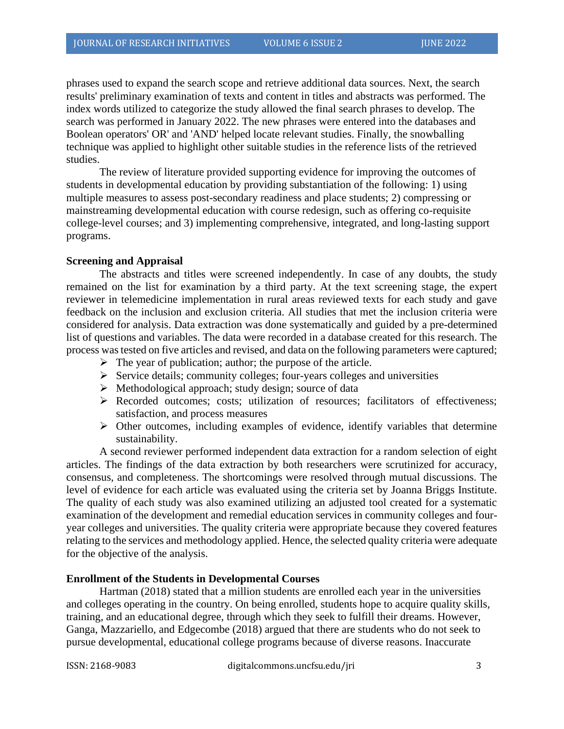phrases used to expand the search scope and retrieve additional data sources. Next, the search results' preliminary examination of texts and content in titles and abstracts was performed. The index words utilized to categorize the study allowed the final search phrases to develop. The search was performed in January 2022. The new phrases were entered into the databases and Boolean operators' OR' and 'AND' helped locate relevant studies. Finally, the snowballing technique was applied to highlight other suitable studies in the reference lists of the retrieved studies.

The review of literature provided supporting evidence for improving the outcomes of students in developmental education by providing substantiation of the following: 1) using multiple measures to assess post-secondary readiness and place students; 2) compressing or mainstreaming developmental education with course redesign, such as offering co-requisite college-level courses; and 3) implementing comprehensive, integrated, and long-lasting support programs.

#### **Screening and Appraisal**

The abstracts and titles were screened independently. In case of any doubts, the study remained on the list for examination by a third party. At the text screening stage, the expert reviewer in telemedicine implementation in rural areas reviewed texts for each study and gave feedback on the inclusion and exclusion criteria. All studies that met the inclusion criteria were considered for analysis. Data extraction was done systematically and guided by a pre-determined list of questions and variables. The data were recorded in a database created for this research. The process was tested on five articles and revised, and data on the following parameters were captured;

- $\triangleright$  The year of publication; author; the purpose of the article.
- ➢ Service details; community colleges; four-years colleges and universities
- ➢ Methodological approach; study design; source of data
- ➢ Recorded outcomes; costs; utilization of resources; facilitators of effectiveness; satisfaction, and process measures
- ➢ Other outcomes, including examples of evidence, identify variables that determine sustainability.

A second reviewer performed independent data extraction for a random selection of eight articles. The findings of the data extraction by both researchers were scrutinized for accuracy, consensus, and completeness. The shortcomings were resolved through mutual discussions. The level of evidence for each article was evaluated using the criteria set by Joanna Briggs Institute. The quality of each study was also examined utilizing an adjusted tool created for a systematic examination of the development and remedial education services in community colleges and fouryear colleges and universities. The quality criteria were appropriate because they covered features relating to the services and methodology applied. Hence, the selected quality criteria were adequate for the objective of the analysis.

#### **Enrollment of the Students in Developmental Courses**

Hartman (2018) stated that a million students are enrolled each year in the universities and colleges operating in the country. On being enrolled, students hope to acquire quality skills, training, and an educational degree, through which they seek to fulfill their dreams. However, Ganga, Mazzariello, and Edgecombe (2018) argued that there are students who do not seek to pursue developmental, educational college programs because of diverse reasons. Inaccurate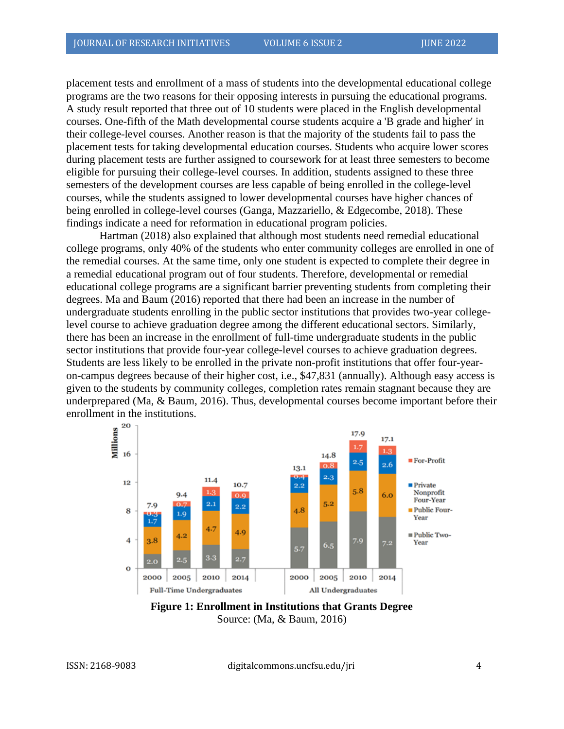placement tests and enrollment of a mass of students into the developmental educational college programs are the two reasons for their opposing interests in pursuing the educational programs. A study result reported that three out of 10 students were placed in the English developmental courses. One-fifth of the Math developmental course students acquire a 'B grade and higher' in their college-level courses. Another reason is that the majority of the students fail to pass the placement tests for taking developmental education courses. Students who acquire lower scores during placement tests are further assigned to coursework for at least three semesters to become eligible for pursuing their college-level courses. In addition, students assigned to these three semesters of the development courses are less capable of being enrolled in the college-level courses, while the students assigned to lower developmental courses have higher chances of being enrolled in college-level courses (Ganga, Mazzariello, & Edgecombe, 2018). These findings indicate a need for reformation in educational program policies.

Hartman (2018) also explained that although most students need remedial educational college programs, only 40% of the students who enter community colleges are enrolled in one of the remedial courses. At the same time, only one student is expected to complete their degree in a remedial educational program out of four students. Therefore, developmental or remedial educational college programs are a significant barrier preventing students from completing their degrees. Ma and Baum (2016) reported that there had been an increase in the number of undergraduate students enrolling in the public sector institutions that provides two-year collegelevel course to achieve graduation degree among the different educational sectors. Similarly, there has been an increase in the enrollment of full-time undergraduate students in the public sector institutions that provide four-year college-level courses to achieve graduation degrees. Students are less likely to be enrolled in the private non-profit institutions that offer four-yearon-campus degrees because of their higher cost, i.e., \$47,831 (annually). Although easy access is given to the students by community colleges, completion rates remain stagnant because they are underprepared (Ma, & Baum, 2016). Thus, developmental courses become important before their enrollment in the institutions.



**Figure 1: Enrollment in Institutions that Grants Degree** Source: (Ma, & Baum, 2016)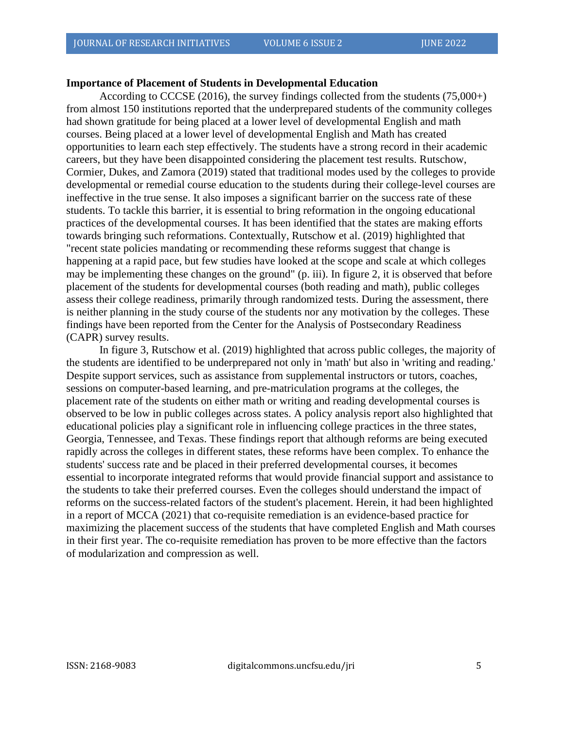#### **Importance of Placement of Students in Developmental Education**

According to CCCSE (2016), the survey findings collected from the students (75,000+) from almost 150 institutions reported that the underprepared students of the community colleges had shown gratitude for being placed at a lower level of developmental English and math courses. Being placed at a lower level of developmental English and Math has created opportunities to learn each step effectively. The students have a strong record in their academic careers, but they have been disappointed considering the placement test results. Rutschow, Cormier, Dukes, and Zamora (2019) stated that traditional modes used by the colleges to provide developmental or remedial course education to the students during their college-level courses are ineffective in the true sense. It also imposes a significant barrier on the success rate of these students. To tackle this barrier, it is essential to bring reformation in the ongoing educational practices of the developmental courses. It has been identified that the states are making efforts towards bringing such reformations. Contextually, Rutschow et al. (2019) highlighted that "recent state policies mandating or recommending these reforms suggest that change is happening at a rapid pace, but few studies have looked at the scope and scale at which colleges may be implementing these changes on the ground" (p. iii). In figure 2, it is observed that before placement of the students for developmental courses (both reading and math), public colleges assess their college readiness, primarily through randomized tests. During the assessment, there is neither planning in the study course of the students nor any motivation by the colleges. These findings have been reported from the Center for the Analysis of Postsecondary Readiness (CAPR) survey results.

In figure 3, Rutschow et al. (2019) highlighted that across public colleges, the majority of the students are identified to be underprepared not only in 'math' but also in 'writing and reading.' Despite support services, such as assistance from supplemental instructors or tutors, coaches, sessions on computer-based learning, and pre-matriculation programs at the colleges, the placement rate of the students on either math or writing and reading developmental courses is observed to be low in public colleges across states. A policy analysis report also highlighted that educational policies play a significant role in influencing college practices in the three states, Georgia, Tennessee, and Texas. These findings report that although reforms are being executed rapidly across the colleges in different states, these reforms have been complex. To enhance the students' success rate and be placed in their preferred developmental courses, it becomes essential to incorporate integrated reforms that would provide financial support and assistance to the students to take their preferred courses. Even the colleges should understand the impact of reforms on the success-related factors of the student's placement. Herein, it had been highlighted in a report of MCCA (2021) that co-requisite remediation is an evidence-based practice for maximizing the placement success of the students that have completed English and Math courses in their first year. The co-requisite remediation has proven to be more effective than the factors of modularization and compression as well.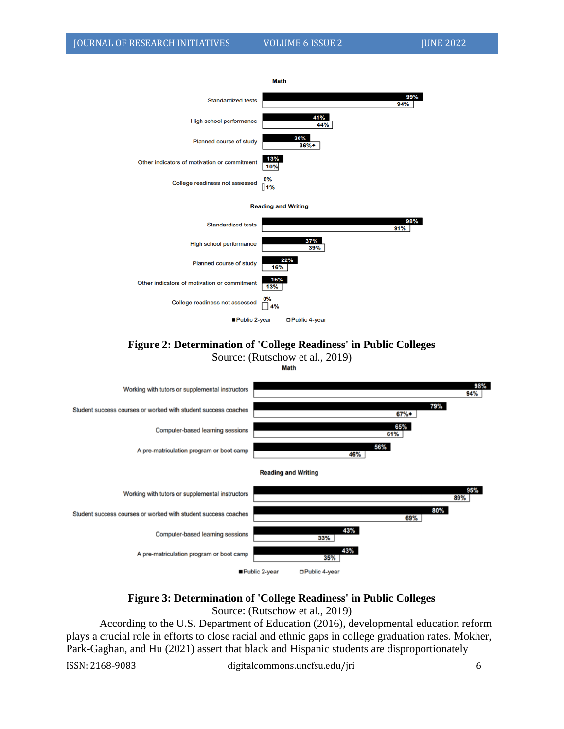

**Figure 2: Determination of 'College Readiness' in Public Colleges**

Source: (Rutschow et al., 2019)



#### **Figure 3: Determination of 'College Readiness' in Public Colleges** Source: (Rutschow et al., 2019)

According to the U.S. Department of Education (2016), developmental education reform plays a crucial role in efforts to close racial and ethnic gaps in college graduation rates. Mokher, Park-Gaghan, and Hu (2021) assert that black and Hispanic students are disproportionately

ISSN: 2168-9083 digitalcommons.uncfsu.edu/jri 6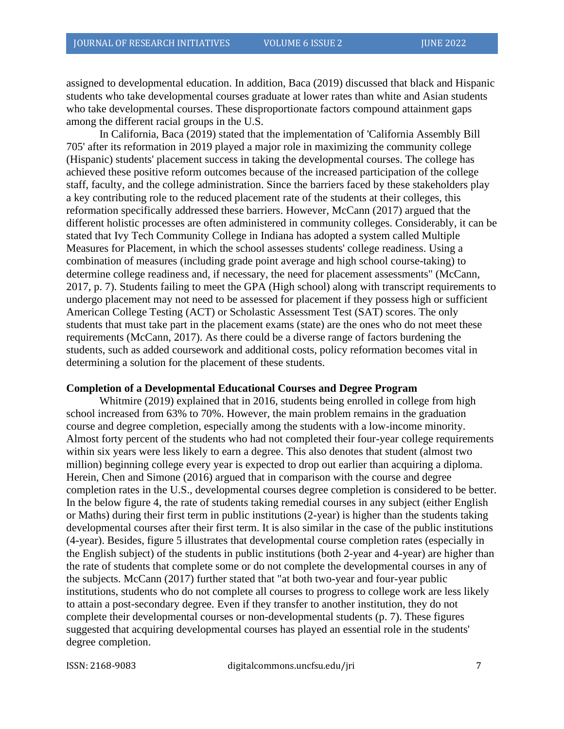assigned to developmental education. In addition, Baca (2019) discussed that black and Hispanic students who take developmental courses graduate at lower rates than white and Asian students who take developmental courses. These disproportionate factors compound attainment gaps among the different racial groups in the U.S.

In California, Baca (2019) stated that the implementation of 'California Assembly Bill 705' after its reformation in 2019 played a major role in maximizing the community college (Hispanic) students' placement success in taking the developmental courses. The college has achieved these positive reform outcomes because of the increased participation of the college staff, faculty, and the college administration. Since the barriers faced by these stakeholders play a key contributing role to the reduced placement rate of the students at their colleges, this reformation specifically addressed these barriers. However, McCann (2017) argued that the different holistic processes are often administered in community colleges. Considerably, it can be stated that Ivy Tech Community College in Indiana has adopted a system called Multiple Measures for Placement, in which the school assesses students' college readiness. Using a combination of measures (including grade point average and high school course-taking) to determine college readiness and, if necessary, the need for placement assessments" (McCann, 2017, p. 7). Students failing to meet the GPA (High school) along with transcript requirements to undergo placement may not need to be assessed for placement if they possess high or sufficient American College Testing (ACT) or Scholastic Assessment Test (SAT) scores. The only students that must take part in the placement exams (state) are the ones who do not meet these requirements (McCann, 2017). As there could be a diverse range of factors burdening the students, such as added coursework and additional costs, policy reformation becomes vital in determining a solution for the placement of these students.

#### **Completion of a Developmental Educational Courses and Degree Program**

Whitmire (2019) explained that in 2016, students being enrolled in college from high school increased from 63% to 70%. However, the main problem remains in the graduation course and degree completion, especially among the students with a low-income minority. Almost forty percent of the students who had not completed their four-year college requirements within six years were less likely to earn a degree. This also denotes that student (almost two million) beginning college every year is expected to drop out earlier than acquiring a diploma. Herein, Chen and Simone (2016) argued that in comparison with the course and degree completion rates in the U.S., developmental courses degree completion is considered to be better. In the below figure 4, the rate of students taking remedial courses in any subject (either English or Maths) during their first term in public institutions (2-year) is higher than the students taking developmental courses after their first term. It is also similar in the case of the public institutions (4-year). Besides, figure 5 illustrates that developmental course completion rates (especially in the English subject) of the students in public institutions (both 2-year and 4-year) are higher than the rate of students that complete some or do not complete the developmental courses in any of the subjects. McCann (2017) further stated that "at both two-year and four-year public institutions, students who do not complete all courses to progress to college work are less likely to attain a post-secondary degree. Even if they transfer to another institution, they do not complete their developmental courses or non-developmental students (p. 7). These figures suggested that acquiring developmental courses has played an essential role in the students' degree completion.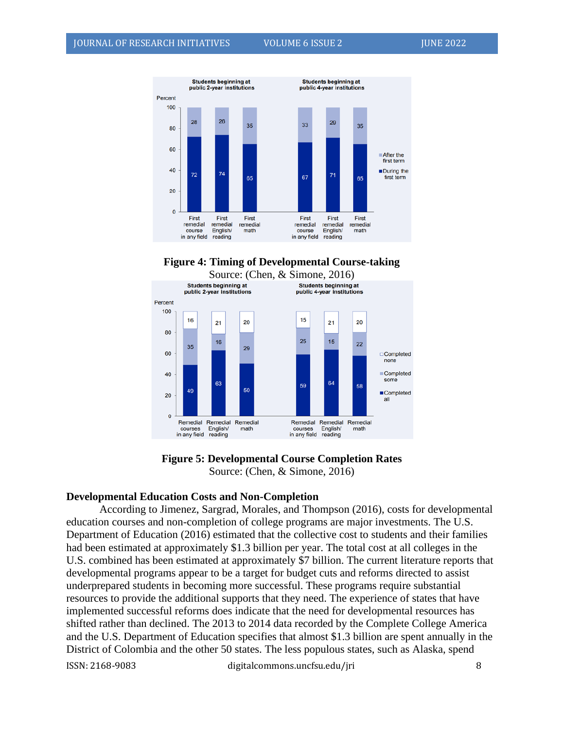







#### **Developmental Education Costs and Non-Completion**

According to Jimenez, Sargrad, Morales, and Thompson (2016), costs for developmental education courses and non-completion of college programs are major investments. The U.S. Department of Education (2016) estimated that the collective cost to students and their families had been estimated at approximately \$1.3 billion per year. The total cost at all colleges in the U.S. combined has been estimated at approximately \$7 billion. The current literature reports that developmental programs appear to be a target for budget cuts and reforms directed to assist underprepared students in becoming more successful. These programs require substantial resources to provide the additional supports that they need. The experience of states that have implemented successful reforms does indicate that the need for developmental resources has shifted rather than declined. The 2013 to 2014 data recorded by the Complete College America and the U.S. Department of Education specifies that almost \$1.3 billion are spent annually in the District of Colombia and the other 50 states. The less populous states, such as Alaska, spend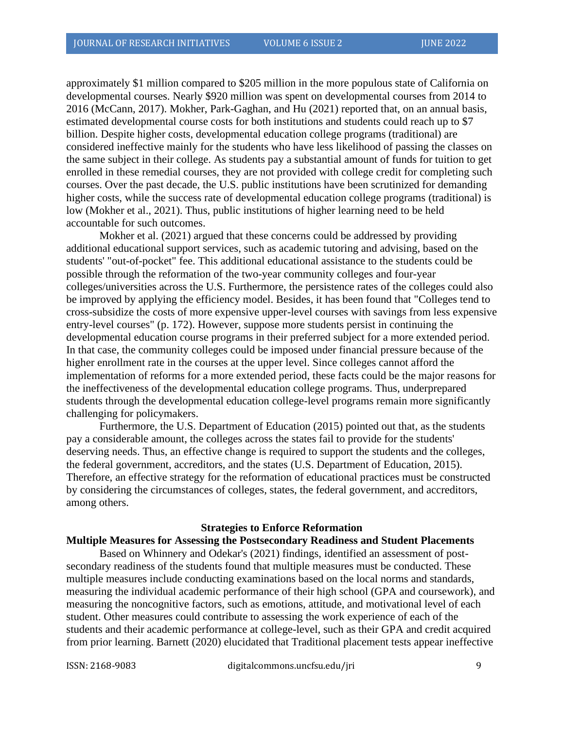approximately \$1 million compared to \$205 million in the more populous state of California on developmental courses. Nearly \$920 million was spent on developmental courses from 2014 to 2016 (McCann, 2017). Mokher, Park-Gaghan, and Hu (2021) reported that, on an annual basis, estimated developmental course costs for both institutions and students could reach up to \$7 billion. Despite higher costs, developmental education college programs (traditional) are considered ineffective mainly for the students who have less likelihood of passing the classes on the same subject in their college. As students pay a substantial amount of funds for tuition to get enrolled in these remedial courses, they are not provided with college credit for completing such courses. Over the past decade, the U.S. public institutions have been scrutinized for demanding higher costs, while the success rate of developmental education college programs (traditional) is low (Mokher et al., 2021). Thus, public institutions of higher learning need to be held accountable for such outcomes.

Mokher et al. (2021) argued that these concerns could be addressed by providing additional educational support services, such as academic tutoring and advising, based on the students' "out-of-pocket" fee. This additional educational assistance to the students could be possible through the reformation of the two-year community colleges and four-year colleges/universities across the U.S. Furthermore, the persistence rates of the colleges could also be improved by applying the efficiency model. Besides, it has been found that "Colleges tend to cross-subsidize the costs of more expensive upper-level courses with savings from less expensive entry-level courses" (p. 172). However, suppose more students persist in continuing the developmental education course programs in their preferred subject for a more extended period. In that case, the community colleges could be imposed under financial pressure because of the higher enrollment rate in the courses at the upper level. Since colleges cannot afford the implementation of reforms for a more extended period, these facts could be the major reasons for the ineffectiveness of the developmental education college programs. Thus, underprepared students through the developmental education college-level programs remain more significantly challenging for policymakers.

Furthermore, the U.S. Department of Education (2015) pointed out that, as the students pay a considerable amount, the colleges across the states fail to provide for the students' deserving needs. Thus, an effective change is required to support the students and the colleges, the federal government, accreditors, and the states (U.S. Department of Education, 2015). Therefore, an effective strategy for the reformation of educational practices must be constructed by considering the circumstances of colleges, states, the federal government, and accreditors, among others.

#### **Strategies to Enforce Reformation**

#### **Multiple Measures for Assessing the Postsecondary Readiness and Student Placements**

Based on Whinnery and Odekar's (2021) findings, identified an assessment of postsecondary readiness of the students found that multiple measures must be conducted. These multiple measures include conducting examinations based on the local norms and standards, measuring the individual academic performance of their high school (GPA and coursework), and measuring the noncognitive factors, such as emotions, attitude, and motivational level of each student. Other measures could contribute to assessing the work experience of each of the students and their academic performance at college-level, such as their GPA and credit acquired from prior learning. Barnett (2020) elucidated that Traditional placement tests appear ineffective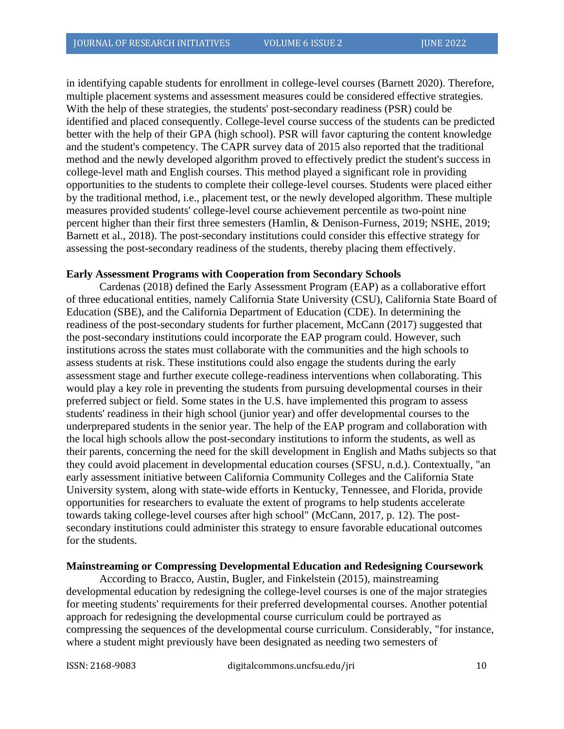in identifying capable students for enrollment in college-level courses (Barnett 2020). Therefore, multiple placement systems and assessment measures could be considered effective strategies. With the help of these strategies, the students' post-secondary readiness (PSR) could be identified and placed consequently. College-level course success of the students can be predicted better with the help of their GPA (high school). PSR will favor capturing the content knowledge and the student's competency. The CAPR survey data of 2015 also reported that the traditional method and the newly developed algorithm proved to effectively predict the student's success in college-level math and English courses. This method played a significant role in providing opportunities to the students to complete their college-level courses. Students were placed either by the traditional method, i.e., placement test, or the newly developed algorithm. These multiple measures provided students' college-level course achievement percentile as two-point nine percent higher than their first three semesters (Hamlin, & Denison-Furness, 2019; NSHE, 2019; Barnett et al., 2018). The post-secondary institutions could consider this effective strategy for assessing the post-secondary readiness of the students, thereby placing them effectively.

#### **Early Assessment Programs with Cooperation from Secondary Schools**

Cardenas (2018) defined the Early Assessment Program (EAP) as a collaborative effort of three educational entities, namely California State University (CSU), California State Board of Education (SBE), and the California Department of Education (CDE). In determining the readiness of the post-secondary students for further placement, McCann (2017) suggested that the post-secondary institutions could incorporate the EAP program could. However, such institutions across the states must collaborate with the communities and the high schools to assess students at risk. These institutions could also engage the students during the early assessment stage and further execute college-readiness interventions when collaborating. This would play a key role in preventing the students from pursuing developmental courses in their preferred subject or field. Some states in the U.S. have implemented this program to assess students' readiness in their high school (junior year) and offer developmental courses to the underprepared students in the senior year. The help of the EAP program and collaboration with the local high schools allow the post-secondary institutions to inform the students, as well as their parents, concerning the need for the skill development in English and Maths subjects so that they could avoid placement in developmental education courses (SFSU, n.d.). Contextually, "an early assessment initiative between California Community Colleges and the California State University system, along with state-wide efforts in Kentucky, Tennessee, and Florida, provide opportunities for researchers to evaluate the extent of programs to help students accelerate towards taking college-level courses after high school" (McCann, 2017, p. 12). The postsecondary institutions could administer this strategy to ensure favorable educational outcomes for the students.

#### **Mainstreaming or Compressing Developmental Education and Redesigning Coursework**

According to Bracco, Austin, Bugler, and Finkelstein (2015), mainstreaming developmental education by redesigning the college-level courses is one of the major strategies for meeting students' requirements for their preferred developmental courses. Another potential approach for redesigning the developmental course curriculum could be portrayed as compressing the sequences of the developmental course curriculum. Considerably, "for instance, where a student might previously have been designated as needing two semesters of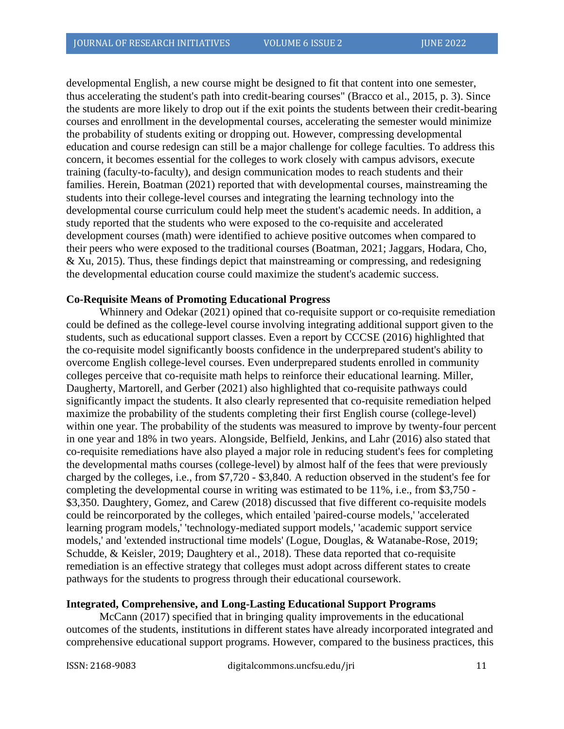developmental English, a new course might be designed to fit that content into one semester, thus accelerating the student's path into credit-bearing courses" (Bracco et al., 2015, p. 3). Since the students are more likely to drop out if the exit points the students between their credit-bearing courses and enrollment in the developmental courses, accelerating the semester would minimize the probability of students exiting or dropping out. However, compressing developmental education and course redesign can still be a major challenge for college faculties. To address this concern, it becomes essential for the colleges to work closely with campus advisors, execute training (faculty-to-faculty), and design communication modes to reach students and their families. Herein, Boatman (2021) reported that with developmental courses, mainstreaming the students into their college-level courses and integrating the learning technology into the developmental course curriculum could help meet the student's academic needs. In addition, a study reported that the students who were exposed to the co-requisite and accelerated development courses (math) were identified to achieve positive outcomes when compared to their peers who were exposed to the traditional courses (Boatman, 2021; Jaggars, Hodara, Cho, & Xu, 2015). Thus, these findings depict that mainstreaming or compressing, and redesigning the developmental education course could maximize the student's academic success.

#### **Co-Requisite Means of Promoting Educational Progress**

Whinnery and Odekar (2021) opined that co-requisite support or co-requisite remediation could be defined as the college-level course involving integrating additional support given to the students, such as educational support classes. Even a report by CCCSE (2016) highlighted that the co-requisite model significantly boosts confidence in the underprepared student's ability to overcome English college-level courses. Even underprepared students enrolled in community colleges perceive that co-requisite math helps to reinforce their educational learning. Miller, Daugherty, Martorell, and Gerber (2021) also highlighted that co-requisite pathways could significantly impact the students. It also clearly represented that co-requisite remediation helped maximize the probability of the students completing their first English course (college-level) within one year. The probability of the students was measured to improve by twenty-four percent in one year and 18% in two years. Alongside, Belfield, Jenkins, and Lahr (2016) also stated that co-requisite remediations have also played a major role in reducing student's fees for completing the developmental maths courses (college-level) by almost half of the fees that were previously charged by the colleges, i.e., from \$7,720 - \$3,840. A reduction observed in the student's fee for completing the developmental course in writing was estimated to be 11%, i.e., from \$3,750 - \$3,350. Daughtery, Gomez, and Carew (2018) discussed that five different co-requisite models could be reincorporated by the colleges, which entailed 'paired-course models,' 'accelerated learning program models,' 'technology-mediated support models,' 'academic support service models,' and 'extended instructional time models' (Logue, Douglas, & Watanabe-Rose, 2019; Schudde, & Keisler, 2019; Daughtery et al., 2018). These data reported that co-requisite remediation is an effective strategy that colleges must adopt across different states to create pathways for the students to progress through their educational coursework.

#### **Integrated, Comprehensive, and Long-Lasting Educational Support Programs**

McCann (2017) specified that in bringing quality improvements in the educational outcomes of the students, institutions in different states have already incorporated integrated and comprehensive educational support programs. However, compared to the business practices, this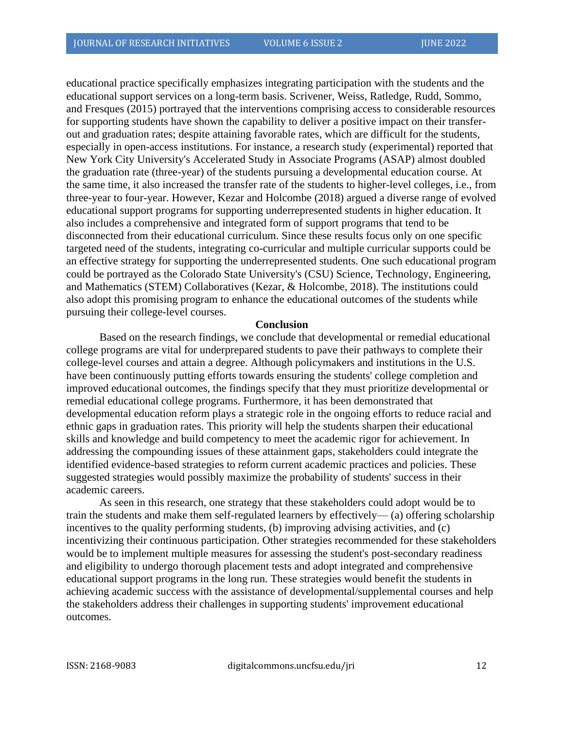educational practice specifically emphasizes integrating participation with the students and the educational support services on a long-term basis. Scrivener, Weiss, Ratledge, Rudd, Sommo, and Fresques (2015) portrayed that the interventions comprising access to considerable resources for supporting students have shown the capability to deliver a positive impact on their transferout and graduation rates; despite attaining favorable rates, which are difficult for the students, especially in open-access institutions. For instance, a research study (experimental) reported that New York City University's Accelerated Study in Associate Programs (ASAP) almost doubled the graduation rate (three-year) of the students pursuing a developmental education course. At the same time, it also increased the transfer rate of the students to higher-level colleges, i.e., from three-year to four-year. However, Kezar and Holcombe (2018) argued a diverse range of evolved educational support programs for supporting underrepresented students in higher education. It also includes a comprehensive and integrated form of support programs that tend to be disconnected from their educational curriculum. Since these results focus only on one specific targeted need of the students, integrating co-curricular and multiple curricular supports could be an effective strategy for supporting the underrepresented students. One such educational program could be portrayed as the Colorado State University's (CSU) Science, Technology, Engineering, and Mathematics (STEM) Collaboratives (Kezar, & Holcombe, 2018). The institutions could also adopt this promising program to enhance the educational outcomes of the students while pursuing their college-level courses.

#### **Conclusion**

Based on the research findings, we conclude that developmental or remedial educational college programs are vital for underprepared students to pave their pathways to complete their college-level courses and attain a degree. Although policymakers and institutions in the U.S. have been continuously putting efforts towards ensuring the students' college completion and improved educational outcomes, the findings specify that they must prioritize developmental or remedial educational college programs. Furthermore, it has been demonstrated that developmental education reform plays a strategic role in the ongoing efforts to reduce racial and ethnic gaps in graduation rates. This priority will help the students sharpen their educational skills and knowledge and build competency to meet the academic rigor for achievement. In addressing the compounding issues of these attainment gaps, stakeholders could integrate the identified evidence-based strategies to reform current academic practices and policies. These suggested strategies would possibly maximize the probability of students' success in their academic careers.

As seen in this research, one strategy that these stakeholders could adopt would be to train the students and make them self-regulated learners by effectively— (a) offering scholarship incentives to the quality performing students, (b) improving advising activities, and (c) incentivizing their continuous participation. Other strategies recommended for these stakeholders would be to implement multiple measures for assessing the student's post-secondary readiness and eligibility to undergo thorough placement tests and adopt integrated and comprehensive educational support programs in the long run. These strategies would benefit the students in achieving academic success with the assistance of developmental/supplemental courses and help the stakeholders address their challenges in supporting students' improvement educational outcomes.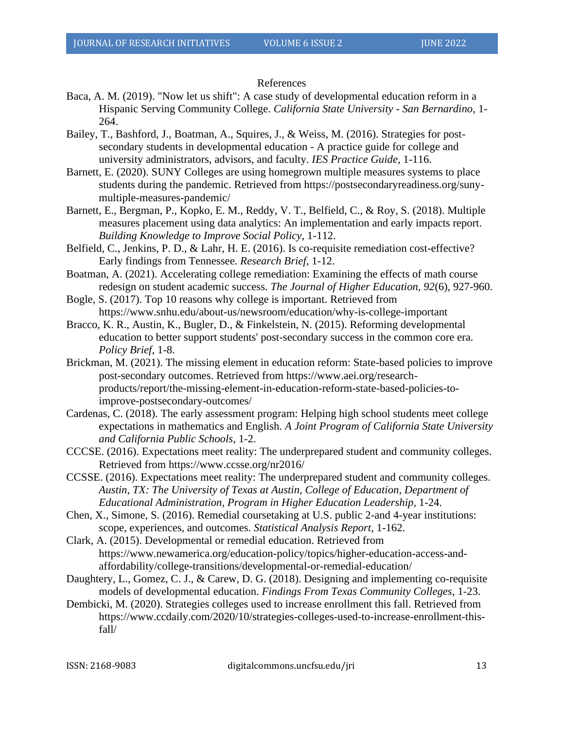#### References

- Baca, A. M. (2019). "Now let us shift": A case study of developmental education reform in a Hispanic Serving Community College. *California State University - San Bernardino*, 1- 264.
- Bailey, T., Bashford, J., Boatman, A., Squires, J., & Weiss, M. (2016). Strategies for postsecondary students in developmental education - A practice guide for college and university administrators, advisors, and faculty. *IES Practice Guide*, 1-116.
- Barnett, E. (2020). SUNY Colleges are using homegrown multiple measures systems to place students during the pandemic. Retrieved from https://postsecondaryreadiness.org/sunymultiple-measures-pandemic/
- Barnett, E., Bergman, P., Kopko, E. M., Reddy, V. T., Belfield, C., & Roy, S. (2018). Multiple measures placement using data analytics: An implementation and early impacts report. *Building Knowledge to Improve Social Policy*, 1-112.
- Belfield, C., Jenkins, P. D., & Lahr, H. E. (2016). Is co-requisite remediation cost-effective? Early findings from Tennessee. *Research Brief*, 1-12.
- Boatman, A. (2021). Accelerating college remediation: Examining the effects of math course redesign on student academic success. *The Journal of Higher Education, 92*(6), 927-960.
- Bogle, S. (2017). Top 10 reasons why college is important. Retrieved from https://www.snhu.edu/about-us/newsroom/education/why-is-college-important
- Bracco, K. R., Austin, K., Bugler, D., & Finkelstein, N. (2015). Reforming developmental education to better support students' post-secondary success in the common core era. *Policy Brief*, 1-8.
- Brickman, M. (2021). The missing element in education reform: State-based policies to improve post-secondary outcomes. Retrieved from https://www.aei.org/researchproducts/report/the-missing-element-in-education-reform-state-based-policies-toimprove-postsecondary-outcomes/
- Cardenas, C. (2018). The early assessment program: Helping high school students meet college expectations in mathematics and English. *A Joint Program of California State University and California Public Schools*, 1-2.
- CCCSE. (2016). Expectations meet reality: The underprepared student and community colleges. Retrieved from https://www.ccsse.org/nr2016/
- CCSSE. (2016). Expectations meet reality: The underprepared student and community colleges. *Austin, TX: The University of Texas at Austin, College of Education, Department of Educational Administration, Program in Higher Education Leadership*, 1-24.
- Chen, X., Simone, S. (2016). Remedial coursetaking at U.S. public 2-and 4-year institutions: scope, experiences, and outcomes. *Statistical Analysis Report*, 1-162.
- Clark, A. (2015). Developmental or remedial education. Retrieved from https://www.newamerica.org/education-policy/topics/higher-education-access-andaffordability/college-transitions/developmental-or-remedial-education/
- Daughtery, L., Gomez, C. J., & Carew, D. G. (2018). Designing and implementing co-requisite models of developmental education. *Findings From Texas Community Colleges*, 1-23.
- Dembicki, M. (2020). Strategies colleges used to increase enrollment this fall. Retrieved from https://www.ccdaily.com/2020/10/strategies-colleges-used-to-increase-enrollment-thisfall/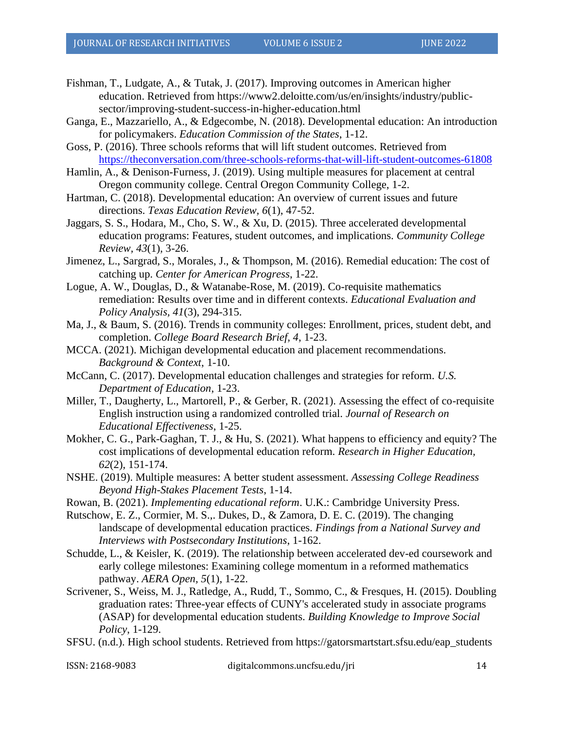- Fishman, T., Ludgate, A., & Tutak, J. (2017). Improving outcomes in American higher education. Retrieved from https://www2.deloitte.com/us/en/insights/industry/publicsector/improving-student-success-in-higher-education.html
- Ganga, E., Mazzariello, A., & Edgecombe, N. (2018). Developmental education: An introduction for policymakers. *Education Commission of the States*, 1-12.
- Goss, P. (2016). Three schools reforms that will lift student outcomes. Retrieved from <https://theconversation.com/three-schools-reforms-that-will-lift-student-outcomes-61808>
- Hamlin, A., & Denison-Furness, J. (2019). Using multiple measures for placement at central Oregon community college. Central Oregon Community College, 1-2.
- Hartman, C. (2018). Developmental education: An overview of current issues and future directions. *Texas Education Review, 6*(1), 47-52.
- Jaggars, S. S., Hodara, M., Cho, S. W., & Xu, D. (2015). Three accelerated developmental education programs: Features, student outcomes, and implications. *Community College Review, 43*(1), 3-26.
- Jimenez, L., Sargrad, S., Morales, J., & Thompson, M. (2016). Remedial education: The cost of catching up. *Center for American Progress*, 1-22.
- Logue, A. W., Douglas, D., & Watanabe-Rose, M. (2019). Co-requisite mathematics remediation: Results over time and in different contexts. *Educational Evaluation and Policy Analysis, 41*(3), 294-315.
- Ma, J., & Baum, S. (2016). Trends in community colleges: Enrollment, prices, student debt, and completion. *College Board Research Brief, 4*, 1-23.
- MCCA. (2021). Michigan developmental education and placement recommendations. *Background & Context*, 1-10.
- McCann, C. (2017). Developmental education challenges and strategies for reform. *U.S. Department of Education*, 1-23.
- Miller, T., Daugherty, L., Martorell, P., & Gerber, R. (2021). Assessing the effect of co-requisite English instruction using a randomized controlled trial. *Journal of Research on Educational Effectiveness*, 1-25.
- Mokher, C. G., Park-Gaghan, T. J., & Hu, S. (2021). What happens to efficiency and equity? The cost implications of developmental education reform. *Research in Higher Education, 62*(2), 151-174.
- NSHE. (2019). Multiple measures: A better student assessment. *Assessing College Readiness Beyond High-Stakes Placement Tests*, 1-14.
- Rowan, B. (2021). *Implementing educational reform*. U.K.: Cambridge University Press.
- Rutschow, E. Z., Cormier, M. S.,. Dukes, D., & Zamora, D. E. C. (2019). The changing landscape of developmental education practices. *Findings from a National Survey and Interviews with Postsecondary Institutions*, 1-162.
- Schudde, L., & Keisler, K. (2019). The relationship between accelerated dev-ed coursework and early college milestones: Examining college momentum in a reformed mathematics pathway. *AERA Open, 5*(1), 1-22.
- Scrivener, S., Weiss, M. J., Ratledge, A., Rudd, T., Sommo, C., & Fresques, H. (2015). Doubling graduation rates: Three-year effects of CUNY's accelerated study in associate programs (ASAP) for developmental education students. *Building Knowledge to Improve Social Policy*, 1-129.
- SFSU. (n.d.). High school students. Retrieved from https://gatorsmartstart.sfsu.edu/eap\_students